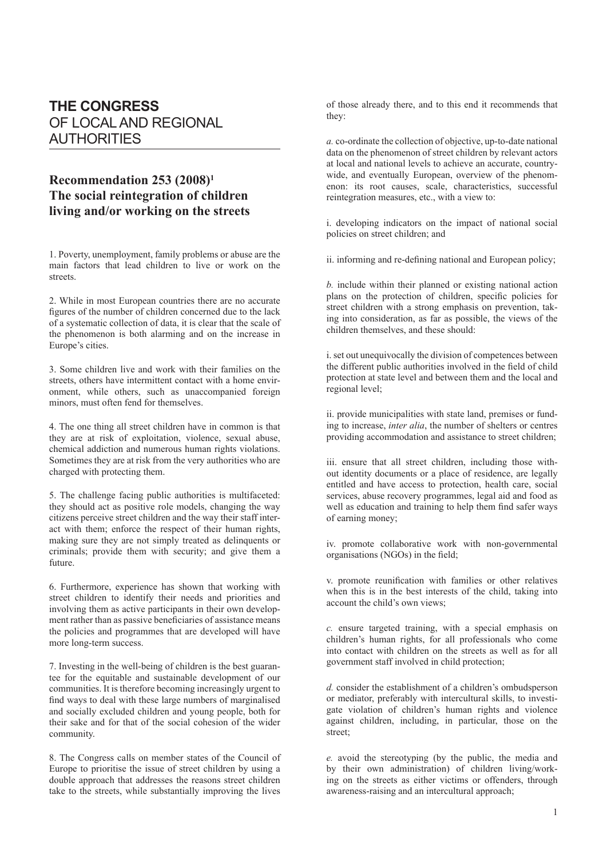## **THE CONGRESS** OF LOCAL AND REGIONAL AUTHORITIES

## **Recommendation 253 (2008)1 The social reintegration of children living and/or working on the streets**

1. Poverty, unemployment, family problems or abuse are the main factors that lead children to live or work on the streets.

2. While in most European countries there are no accurate figures of the number of children concerned due to the lack of a systematic collection of data, it is clear that the scale of the phenomenon is both alarming and on the increase in Europe's cities.

3. Some children live and work with their families on the streets, others have intermittent contact with a home environment, while others, such as unaccompanied foreign minors, must often fend for themselves.

4. The one thing all street children have in common is that they are at risk of exploitation, violence, sexual abuse, chemical addiction and numerous human rights violations. Sometimes they are at risk from the very authorities who are charged with protecting them.

5. The challenge facing public authorities is multifaceted: they should act as positive role models, changing the way citizens perceive street children and the way their staff interact with them; enforce the respect of their human rights, making sure they are not simply treated as delinquents or criminals; provide them with security; and give them a future.

6. Furthermore, experience has shown that working with street children to identify their needs and priorities and involving them as active participants in their own development rather than as passive beneficiaries of assistance means the policies and programmes that are developed will have more long-term success.

7. Investing in the well-being of children is the best guarantee for the equitable and sustainable development of our communities. It is therefore becoming increasingly urgent to find ways to deal with these large numbers of marginalised and socially excluded children and young people, both for their sake and for that of the social cohesion of the wider community.

8. The Congress calls on member states of the Council of Europe to prioritise the issue of street children by using a double approach that addresses the reasons street children take to the streets, while substantially improving the lives

of those already there, and to this end it recommends that they:

*a.* co-ordinate the collection of objective, up-to-date national data on the phenomenon of street children by relevant actors at local and national levels to achieve an accurate, countrywide, and eventually European, overview of the phenomenon: its root causes, scale, characteristics, successful reintegration measures, etc., with a view to:

i. developing indicators on the impact of national social policies on street children; and

ii. informing and re-defining national and European policy;

*b.* include within their planned or existing national action plans on the protection of children, specific policies for street children with a strong emphasis on prevention, taking into consideration, as far as possible, the views of the children themselves, and these should:

i. set out unequivocally the division of competences between the different public authorities involved in the field of child protection at state level and between them and the local and regional level;

ii. provide municipalities with state land, premises or funding to increase, *inter alia*, the number of shelters or centres providing accommodation and assistance to street children;

iii. ensure that all street children, including those without identity documents or a place of residence, are legally entitled and have access to protection, health care, social services, abuse recovery programmes, legal aid and food as well as education and training to help them find safer ways of earning money;

iv. promote collaborative work with non-governmental organisations (NGOs) in the field;

v. promote reunification with families or other relatives when this is in the best interests of the child, taking into account the child's own views;

*c.* ensure targeted training, with a special emphasis on children's human rights, for all professionals who come into contact with children on the streets as well as for all government staff involved in child protection;

*d.* consider the establishment of a children's ombudsperson or mediator, preferably with intercultural skills, to investigate violation of children's human rights and violence against children, including, in particular, those on the street<sup>.</sup>

*e.* avoid the stereotyping (by the public, the media and by their own administration) of children living/working on the streets as either victims or offenders, through awareness-raising and an intercultural approach;